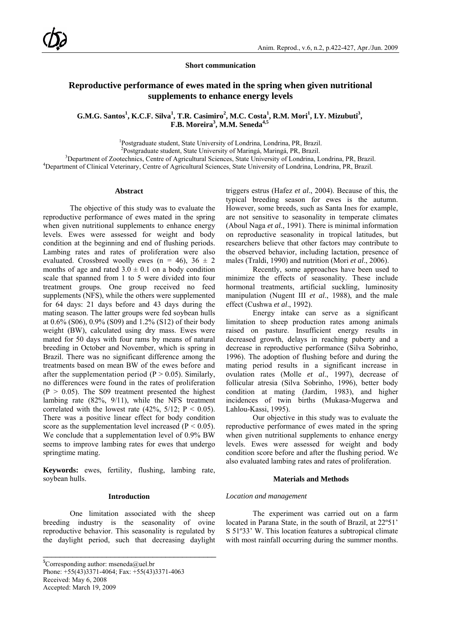**Short communication** 

# **Reproductive performance of ewes mated in the spring when given nutritional supplements to enhance energy levels**

G.M.G. Santos<sup>1</sup>, K.C.F. Silva<sup>1</sup>, T.R. Casimiro<sup>2</sup>, M.C. Costa<sup>1</sup>, R.M. Mori<sup>1</sup>, I.Y. Mizubuti<sup>3</sup>, **F.B. Moreira<sup>3</sup> , M.M. Seneda4,5** 

<sup>1</sup>Postgraduate student, State University of Londrina, Londrina, PR, Brazil.<br><sup>2</sup>Postgraduate student, State University of Meringé, Meringé, PP, Prezil.

<sup>2</sup>Postgraduate student, State University of Maringá, Maringá, PR, Brazil.

<sup>3</sup>Department of Zootechnics, Centre of Agricultural Sciences, State University of Londrina, Londrina, PR, Brazil.

<sup>4</sup>Department of Clinical Veterinary, Centre of Agricultural Sciences, State University of Londrina, Londrina, PR, Brazil.

### **Abstract**

The objective of this study was to evaluate the reproductive performance of ewes mated in the spring when given nutritional supplements to enhance energy levels. Ewes were assessed for weight and body condition at the beginning and end of flushing periods. Lambing rates and rates of proliferation were also evaluated. Crossbred woolly ewes (n = 46),  $36 \pm 2$ months of age and rated  $3.0 \pm 0.1$  on a body condition scale that spanned from 1 to 5 were divided into four treatment groups. One group received no feed supplements (NFS), while the others were supplemented for 64 days: 21 days before and 43 days during the mating season. The latter groups were fed soybean hulls at 0.6% (S06), 0.9% (S09) and 1.2% (S12) of their body weight (BW), calculated using dry mass. Ewes were mated for 50 days with four rams by means of natural breeding in October and November, which is spring in Brazil. There was no significant difference among the treatments based on mean BW of the ewes before and after the supplementation period ( $P > 0.05$ ). Similarly, no differences were found in the rates of proliferation  $(P > 0.05)$ . The S09 treatment presented the highest lambing rate (82%, 9/11), while the NFS treatment correlated with the lowest rate  $(42\%, 5/12; P < 0.05)$ . There was a positive linear effect for body condition score as the supplementation level increased ( $P < 0.05$ ). We conclude that a supplementation level of 0.9% BW seems to improve lambing rates for ewes that undergo springtime mating.

**Keywords:** ewes, fertility, flushing, lambing rate, soybean hulls.

### **Introduction**

One limitation associated with the sheep breeding industry is the seasonality of ovine reproductive behavior. This seasonality is regulated by the daylight period, such that decreasing daylight

\_\_\_\_\_\_\_\_\_\_\_\_\_\_\_\_\_\_\_\_\_\_\_\_\_\_\_\_\_\_\_\_\_\_\_\_\_\_\_\_\_

triggers estrus (Hafez *et al*., 2004). Because of this, the typical breeding season for ewes is the autumn. However, some breeds, such as Santa Ines for example, are not sensitive to seasonality in temperate climates (Aboul Naga *et al.,* 1991). There is minimal information on reproductive seasonality in tropical latitudes, but researchers believe that other factors may contribute to the observed behavior, including lactation, presence of males (Traldi, 1990) and nutrition (Mori *et al*., 2006).

Recently, some approaches have been used to minimize the effects of seasonality. These include hormonal treatments, artificial suckling, luminosity manipulation (Nugent III *et al*., 1988), and the male effect (Cushwa *et al*., 1992).

Energy intake can serve as a significant limitation to sheep production rates among animals raised on pasture. Insufficient energy results in decreased growth, delays in reaching puberty and a decrease in reproductive performance (Silva Sobrinho, 1996). The adoption of flushing before and during the mating period results in a significant increase in ovulation rates (Molle *et al*., 1997), decrease of follicular atresia (Silva Sobrinho, 1996), better body condition at mating (Jardim, 1983), and higher incidences of twin births (Mukasa-Mugerwa and Lahlou-Kassi, 1995).

Our objective in this study was to evaluate the reproductive performance of ewes mated in the spring when given nutritional supplements to enhance energy levels. Ewes were assessed for weight and body condition score before and after the flushing period. We also evaluated lambing rates and rates of proliferation.

### **Materials and Methods**

#### *Location and management*

The experiment was carried out on a farm located in Parana State, in the south of Brazil, at 22º51' S 51º33' W. This location features a subtropical climate with most rainfall occurring during the summer months.

**<sup>5</sup>** Corresponding author: mseneda@uel.br Phone: +55(43)3371-4064; Fax: +55(43)3371-4063 Received: May 6, 2008 Accepted: March 19, 2009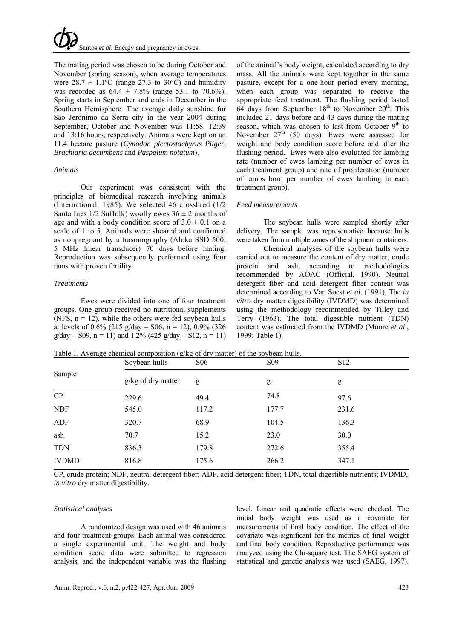The mating period was chosen to be during October and November (spring season), when average temperatures were  $28.7 \pm 1.1$ °C (range 27.3 to 30°C) and humidity was recorded as  $64.4 \pm 7.8\%$  (range 53.1 to 70.6%). Spring starts in September and ends in December in the Southern Hemisphere. The average daily sunshine for São Jerônimo da Serra city in the year 2004 during September, October and November was 11:58, 12:39 and 13:16 hours, respectively. Animals were kept on an 11.4 hectare pasture (*Cynodon plectostachyrus Pilger*, *Brachiaria decumbens* and *Paspalum notatum*).

## *Animals*

Our experiment was consistent with the principles of biomedical research involving animals (International, 1985). We selected 46 crossbred (1/2 Santa Ines  $1/2$  Suffolk) woolly ewes  $36 \pm 2$  months of age and with a body condition score of  $3.0 \pm 0.1$  on a scale of 1 to 5. Animals were sheared and confirmed as nonpregnant by ultrasonography (Aloka SSD 500, 5 MHz linear transducer) 70 days before mating. Reproduction was subsequently performed using four rams with proven fertility.

## *Treatments*

Ewes were divided into one of four treatment groups. One group received no nutritional supplements (NFS,  $n = 12$ ), while the others were fed soybean hulls at levels of 0.6% (215 g/day – S06, n = 12), 0.9% (326  $g/day - S09$ ,  $n = 11$ ) and 1.2% (425 g/day – S12,  $n = 11$ ) of the animal's body weight, calculated according to dry mass. All the animals were kept together in the same pasture, except for a one-hour period every morning, when each group was separated to receive the appropriate feed treatment. The flushing period lasted  $64$  days from September  $18<sup>th</sup>$  to November  $20<sup>th</sup>$ . This included 21 days before and 43 days during the mating season, which was chosen to last from October  $9<sup>th</sup>$  to November  $27<sup>th</sup>$  (50 days). Ewes were assessed for weight and body condition score before and after the flushing period. Ewes were also evaluated for lambing rate (number of ewes lambing per number of ewes in each treatment group) and rate of proliferation (number of lambs born per number of ewes lambing in each treatment group).

## *Feed measurements*

The soybean hulls were sampled shortly after delivery. The sample was representative because hulls were taken from multiple zones of the shipment containers.

Chemical analyses of the soybean hulls were carried out to measure the content of dry matter, crude protein and ash, according to methodologies recommended by AOAC (Official, 1990). Neutral detergent fiber and acid detergent fiber content was determined according to Van Soest *et al*. (1991). The *in vitro* dry matter digestibility (IVDMD) was determined using the methodology recommended by Tilley and Terry (1963). The total digestible nutrient (TDN) content was estimated from the IVDMD (Moore *et al*., 1999; Table 1).

| Sample | Soybean hulls        | S <sub>06</sub> | S <sub>09</sub> | S <sub>12</sub> |  |
|--------|----------------------|-----------------|-----------------|-----------------|--|
|        | $g/kg$ of dry matter | g               | g               | g               |  |
| CP     | 229.6                | 49.4            | 74.8            | 97.6            |  |
| NDF    | 545.0                | 117.2           | 177.7           | 231.6           |  |
| ADF    | 320.7                | 68.9            | 104.5           | 136.3           |  |
| ash    | 70.7                 | 15.2            | 23.0            | 30.0            |  |
| TDN    | 836.3                | 179.8           | 272.6           | 355.4           |  |

Table 1. Average chemical composition (g/kg of dry matter) of the soybean hulls.

CP, crude protein; NDF, neutral detergent fiber; ADF, acid detergent fiber; TDN, total digestible nutrients; IVDMD, *in vitro* dry matter digestibility.

IVDMD 816.8 175.6 266.2 347.1

## *Statistical analyses*

A randomized design was used with 46 animals and four treatment groups. Each animal was considered a single experimental unit. The weight and body condition score data were submitted to regression analysis, and the independent variable was the flushing level. Linear and quadratic effects were checked. The initial body weight was used as a covariate for measurements of final body condition. The effect of the covariate was significant for the metrics of final weight and final body condition. Reproductive performance was analyzed using the Chi-square test. The SAEG system of statistical and genetic analysis was used (SAEG, 1997).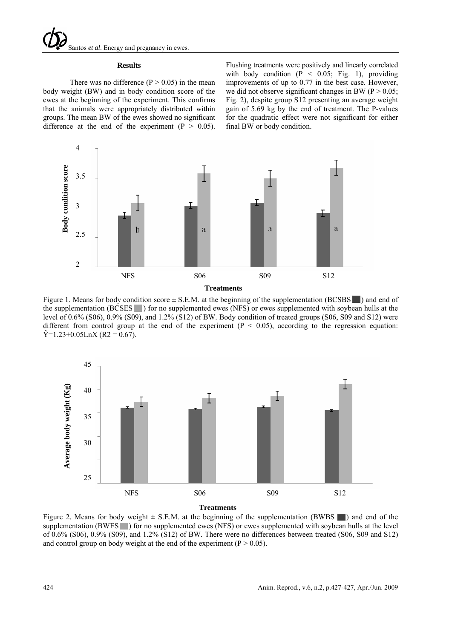#### **Results**

There was no difference  $(P > 0.05)$  in the mean body weight (BW) and in body condition score of the ewes at the beginning of the experiment. This confirms that the animals were appropriately distributed within groups. The mean BW of the ewes showed no significant difference at the end of the experiment ( $P > 0.05$ ).

Flushing treatments were positively and linearly correlated with body condition  $(P < 0.05$ ; Fig. 1), providing improvements of up to 0.77 in the best case. However, we did not observe significant changes in BW ( $P > 0.05$ ; Fig. 2), despite group S12 presenting an average weight gain of 5.69 kg by the end of treatment. The P-values for the quadratic effect were not significant for either final BW or body condition.



**Treatments** 

Figure 1. Means for body condition score  $\pm$  S.E.M. at the beginning of the supplementation (BCSBS  $\Box$ ) and end of the supplementation (BCSES ) for no supplemented ewes (NFS) or ewes supplemented with soybean hulls at the level of 0.6% (S06), 0.9% (S09), and 1.2% (S12) of BW. Body condition of treated groups (S06, S09 and S12) were different from control group at the end of the experiment  $(P < 0.05)$ , according to the regression equation:  $\hat{Y}$ =1.23+0.05LnX (R2 = 0.67).



**Treatments** 

Figure 2. Means for body weight  $\pm$  S.E.M. at the beginning of the supplementation (BWBS ) and end of the supplementation (BWES ) for no supplemented ewes (NFS) or ewes supplemented with soybean hulls at the level of 0.6% (S06), 0.9% (S09), and 1.2% (S12) of BW. There were no differences between treated (S06, S09 and S12)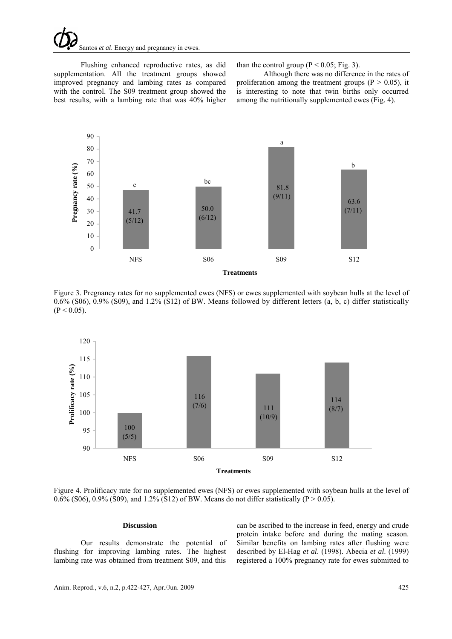# Santos *et al*. Energy and pregnancy in ewes.

Flushing enhanced reproductive rates, as did supplementation. All the treatment groups showed improved pregnancy and lambing rates as compared with the control. The S09 treatment group showed the best results, with a lambing rate that was 40% higher

than the control group ( $P < 0.05$ ; Fig. 3).

Although there was no difference in the rates of proliferation among the treatment groups ( $P > 0.05$ ), it is interesting to note that twin births only occurred among the nutritionally supplemented ewes (Fig. 4).



Figure 3. Pregnancy rates for no supplemented ewes (NFS) or ewes supplemented with soybean hulls at the level of 0.6% (S06), 0.9% (S09), and 1.2% (S12) of BW. Means followed by different letters (a, b, c) differ statistically  $(P < 0.05)$ .



Figure 4. Prolificacy rate for no supplemented ewes (NFS) or ewes supplemented with soybean hulls at the level of 0.6% (S06), 0.9% (S09), and 1.2% (S12) of BW. Means do not differ statistically (P  $>$  0.05).

#### **Discussion**

Our results demonstrate the potential of flushing for improving lambing rates. The highest lambing rate was obtained from treatment S09, and this

can be ascribed to the increase in feed, energy and crude protein intake before and during the mating season. Similar benefits on lambing rates after flushing were described by El-Hag *et al*. (1998). Abecia *et al*. (1999) registered a 100% pregnancy rate for ewes submitted to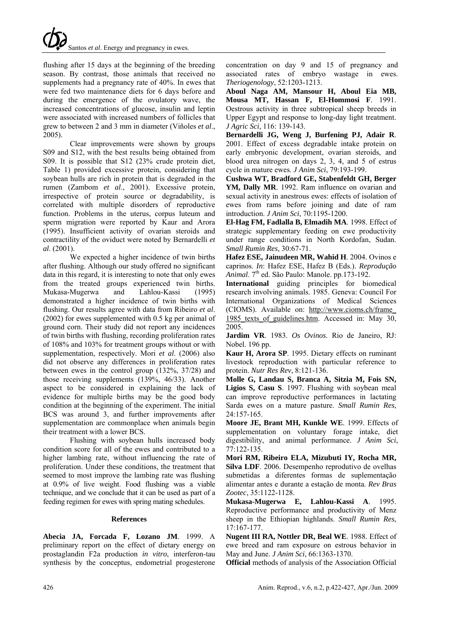# Santos *et al*. Energy and pregnancy in ewes.

flushing after 15 days at the beginning of the breeding season. By contrast, those animals that received no supplements had a pregnancy rate of 40%. In ewes that were fed two maintenance diets for 6 days before and during the emergence of the ovulatory wave, the increased concentrations of glucose, insulin and leptin were associated with increased numbers of follicles that grew to between 2 and 3 mm in diameter (Viñoles *et al*., 2005).

Clear improvements were shown by groups S09 and S12, with the best results being obtained from S09. It is possible that S12 (23% crude protein diet, Table 1) provided excessive protein, considering that soybean hulls are rich in protein that is degraded in the rumen (Zambom *et al*., 2001). Excessive protein, irrespective of protein source or degradability, is correlated with multiple disorders of reproductive function. Problems in the uterus, corpus luteum and sperm migration were reported by Kaur and Arora (1995). Insufficient activity of ovarian steroids and contractility of the oviduct were noted by Bernardelli *et al*. (2001).

We expected a higher incidence of twin births after flushing. Although our study offered no significant data in this regard, it is interesting to note that only ewes from the treated groups experienced twin births. Mukasa-Mugerwa and Lahlou-Kassi (1995) demonstrated a higher incidence of twin births with flushing. Our results agree with data from Ribeiro *et al*. (2002) for ewes supplemented with 0.5 kg per animal of ground corn. Their study did not report any incidences of twin births with flushing, recording proliferation rates of 108% and 103% for treatment groups without or with supplementation, respectively. Mori *et al*. (2006) also did not observe any differences in proliferation rates between ewes in the control group (132%, 37/28) and those receiving supplements (139%, 46/33). Another aspect to be considered in explaining the lack of evidence for multiple births may be the good body condition at the beginning of the experiment. The initial BCS was around 3, and further improvements after supplementation are commonplace when animals begin their treatment with a lower BCS.

Flushing with soybean hulls increased body condition score for all of the ewes and contributed to a higher lambing rate, without influencing the rate of proliferation. Under these conditions, the treatment that seemed to most improve the lambing rate was flushing at 0.9% of live weight. Food flushing was a viable technique, and we conclude that it can be used as part of a feeding regimen for ewes with spring mating schedules.

## **References**

**Abecia JA, Forcada F, Lozano JM**. 1999. A preliminary report on the effect of dietary energy on prostaglandin F2a production *in vitro*, interferon-tau synthesis by the conceptus, endometrial progesterone concentration on day 9 and 15 of pregnancy and associated rates of embryo wastage in ewes. *Theriogenology*, 52:1203-1213.

**Aboul Naga AM, Mansour H, Aboul Eia MB, Mousa MT, Hassan F, El-Hommosi F**. 1991. Oestrous activity in three subtropical sheep breeds in Upper Egypt and response to long-day light treatment. *J Agric Sci*, 116: 139-143.

**Bernardelli JG, Weng J, Burfening PJ, Adair R**. 2001. Effect of excess degradable intake protein on early embryonic development, ovarian steroids, and blood urea nitrogen on days 2, 3, 4, and 5 of estrus cycle in mature ewes. *J Anim Sci*, 79:193-199.

**Cushwa WT, Bradford GE, Stabenfeldt GH, Berger YM, Dally MR**. 1992. Ram influence on ovarian and sexual activity in anestrous ewes: effects of isolation of ewes from rams before joining and date of ram introduction. *J Anim Sci*, 70:1195-1200.

**El-Hag FM, Fadlalla B, Elmadih MA**. 1998. Effect of strategic supplementary feeding on ewe productivity under range conditions in North Kordofan, Sudan. *Small Rumin Res*, 30:67-71.

**Hafez ESE, Jainudeen MR, Wahid H**. 2004. Ovinos e caprinos. *In*: Hafez ESE, Hafez B (Eds.). *Reprodução Animal*. 7th ed. São Paulo: Manole. pp.173-192.

**International** guiding principles for biomedical research involving animals. 1985. Geneva: Council For International Organizations of Medical Sciences (CIOMS). Available on: http://www.cioms.ch/frame\_ 1985 texts of guidelines.htm. Accessed in: May 30,

2005.

**Jardim VR**. 1983. *Os Ovinos*. Rio de Janeiro, RJ: Nobel. 196 pp.

**Kaur H, Arora SP**. 1995. Dietary effects on ruminant livestock reproduction with particular reference to protein. *Nutr Res Rev*, 8:121-136.

**Molle G, Landau S, Branca A, Sitzia M, Fois SN, Ligios S, Casu S**. 1997. Flushing with soybean meal can improve reproductive performances in lactating Sarda ewes on a mature pasture. *Small Rumin Res*, 24:157-165.

**Moore JE, Brant MH, Kunkle WE**. 1999. Effects of supplementation on voluntary forage intake, diet digestibility, and animal performance. *J Anim Sci*, 77:122-135.

**Mori RM, Ribeiro ELA, Mizubuti IY, Rocha MR, Silva LDF**. 2006. Desempenho reprodutivo de ovelhas submetidas a diferentes formas de suplementação alimentar antes e durante a estação de monta. *Rev Bras Zootec*, 35:1122-1128.

**Mukasa-Mugerwa E, Lahlou-Kassi A**. 1995. Reproductive performance and productivity of Menz sheep in the Ethiopian highlands. *Small Rumin Res*, 17:167-177.

**Nugent III RA, Nottler DR, Beal WE**. 1988. Effect of ewe breed and ram exposure on estrous behavior in May and June. *J Anim Sci*, 66:1363-1370.

**Official** methods of analysis of the Association Official